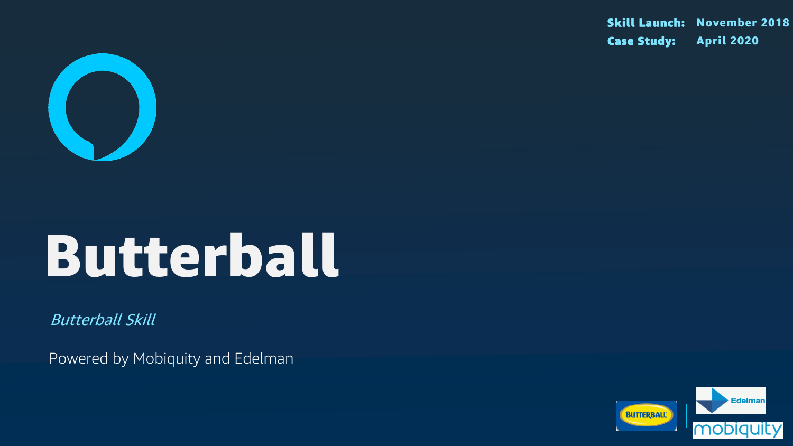

# Butterball

Butterball Skill

Powered by Mobiquity and Edelman

### Skill Launch: November 2018 Case Study: April 2020

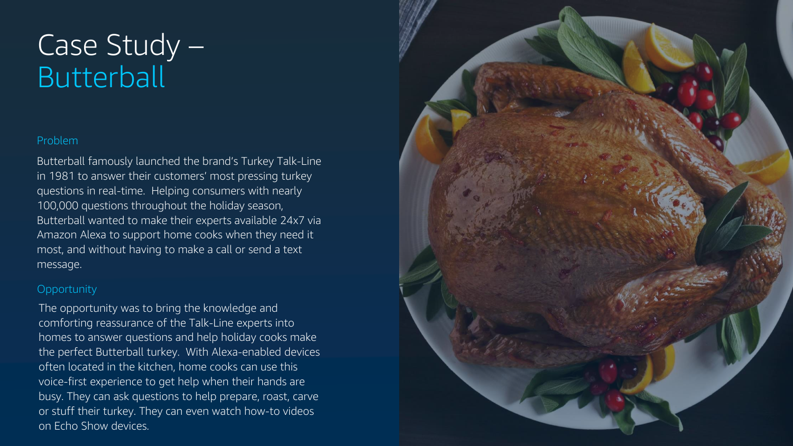#### Problem

## Case Study – **Butterball**

Butterball famously launched the brand's Turkey Talk-Line in 1981 to answer their customers' most pressing turkey questions in real-time. Helping consumers with nearly 100,000 questions throughout the holiday season, Butterball wanted to make their experts available 24x7 via Amazon Alexa to support home cooks when they need it most, and without having to make a call or send a text message.

#### **Opportunity**

The opportunity was to bring the knowledge and comforting reassurance of the Talk-Line experts into homes to answer questions and help holiday cooks make the perfect Butterball turkey. With Alexa-enabled devices often located in the kitchen, home cooks can use this voice-first experience to get help when their hands are busy. They can ask questions to help prepare, roast, carve or stuff their turkey. They can even watch how-to videos on Echo Show devices.

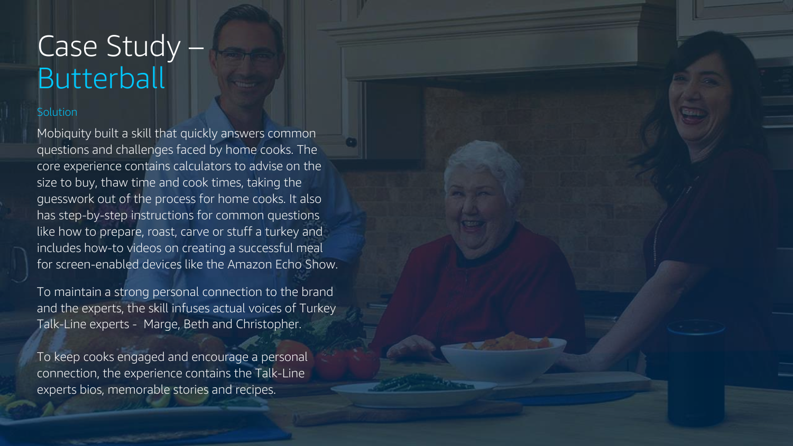## Case Study – **Butterball**

#### **Solution**

Mobiquity built a skill that quickly answers common questions and challenges faced by home cooks. The core experience contains calculators to advise on the size to buy, thaw time and cook times, taking the guesswork out of the process for home cooks. It also has step-by-step instructions for common questions like how to prepare, roast, carve or stuff a turkey and includes how-to videos on creating a successful meal for screen-enabled devices like the Amazon Echo Show.

To maintain a strong personal connection to the brand and the experts, the skill infuses actual voices of Turkey Talk-Line experts - Marge, Beth and Christopher.

To keep cooks engaged and encourage a personal connection, the experience contains the Talk-Line experts bios, memorable stories and recipes.

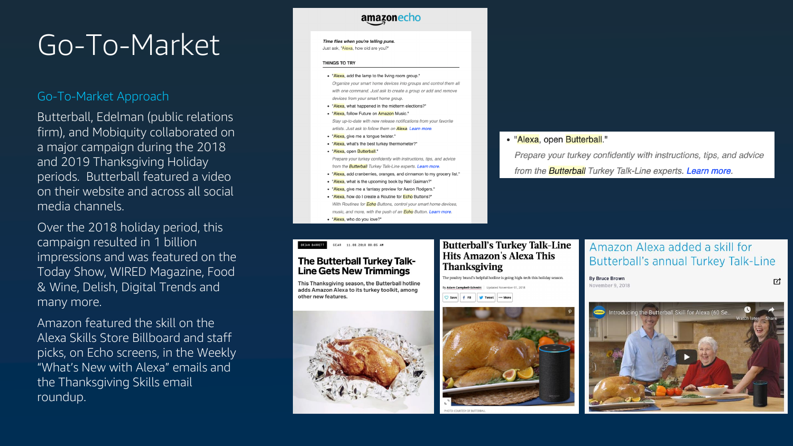## Go-To-Market

#### Go -To -Market Approach

Butterball, Edelman (public relations firm), and Mobiquity collaborated on a major campaign during the 2018 and 2019 Thanksgiving Holiday periods. Butterball featured a video on their website and across all social media channels.

Over the 2018 holiday period, this campaign resulted in 1 billion impressions and was featured on the Today Show, WIRED Magazine, Food & Wine, Delish, Digital Trends and many more.

Amazon featured the skill on the Alexa Skills Store Billboard and staff picks, on Echo screens, in the Weekly "What's New with Alexa" emails and the Thanksgiving Skills email roundup.

#### amazonecho

#### Time flies when you're telling puns.

Just ask, "Alexa, how old are you?"

#### **THINGS TO TRY**

- . "Alexa, add the lamp to the living room group." Organize your smart home devices into groups and control them all with one command. Just ask to create a group or add and remove devices from your smart home group.
- "Alexa, what happened in the midterm elections?"
- "Alexa, follow Future on Amazon Music. Stay up-to-date with new release notifications from your favorite artists. Just ask to follow them on **Alexa. Learn more**
- "Alexa, give me a tonque twister.
- "Alexa, what's the best turkey thermometer?"
- "Alexa, open Butterball." Prepare your turkey confidently with instructions, tips, and advice from the **Butterball** Turkey Talk-Line experts. Learn more
- "Alexa, add cranberries, oranges, and cinnamon to my grocery list."
- "Alexa, what is the upcoming book by Neil Gaiman?"
- "Alexa, give me a fantasy preview for Aaron Rodgers."
- "Alexa, how do I create a Routine for Echo Buttons?" With Routines for **Echo** Buttons, control your smart home devices music, and more, with the push of an **Echo** Button. Learn more.
- "Alexa, who do you love?"

#### GEAR 11.08.2018 08:05 AM **BRIAN BARRETT**

### **The Butterball Turkey Talk-Line Gets New Trimmings**<br>This Thanksgiving season, the Butterball hotline

adds Amazon Alexa to its turkey toolkit, among other new features.



#### **Butterball's Turkey Talk-Line Hits Amazon's Alexa This Thanksgiving**

The poultry brand's helpful hotline is going high-tech this holiday season.







#### • "Alexa, open Butterball."

Prepare your turkey confidently with instructions, tips, and advice from the **Butterball** Turkey Talk-Line experts. Learn more.

#### Amazon Alexa added a skill for **Butterball's annual Turkey Talk-Line**

**By Bruce Brown** November 9, 2018

ヱ

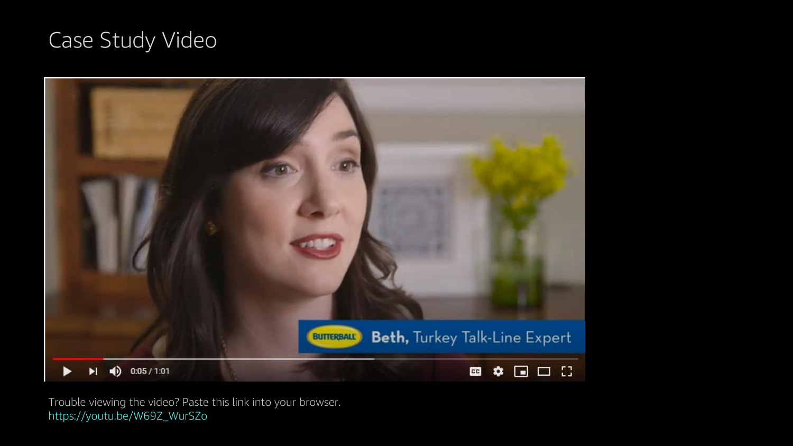Trouble viewing the video? Paste this link into your browser. https://youtu.be/W69Z\_WurSZo



## Case Study Video

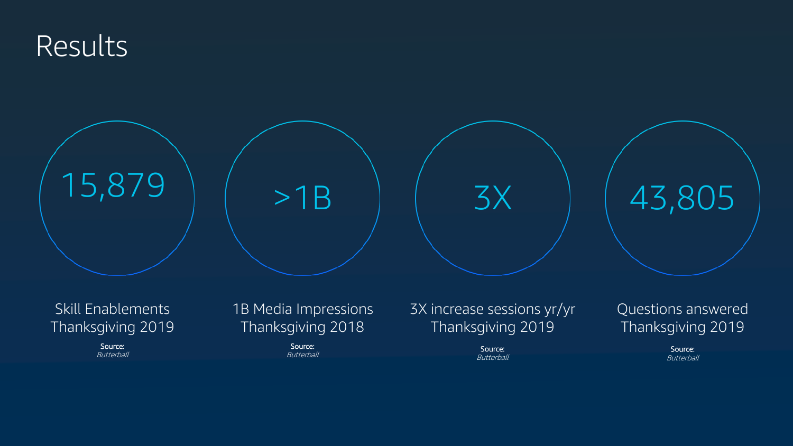

Source: Butterball

Source: Butterball

### Skill Enablements Thanksgiving 2019

Source: Butterball



Source: **Butterball** 

1B Media Impressions Thanksgiving 2018



### 3X increase sessions yr/yr Thanksgiving 2019

### Questions answered Thanksgiving 2019